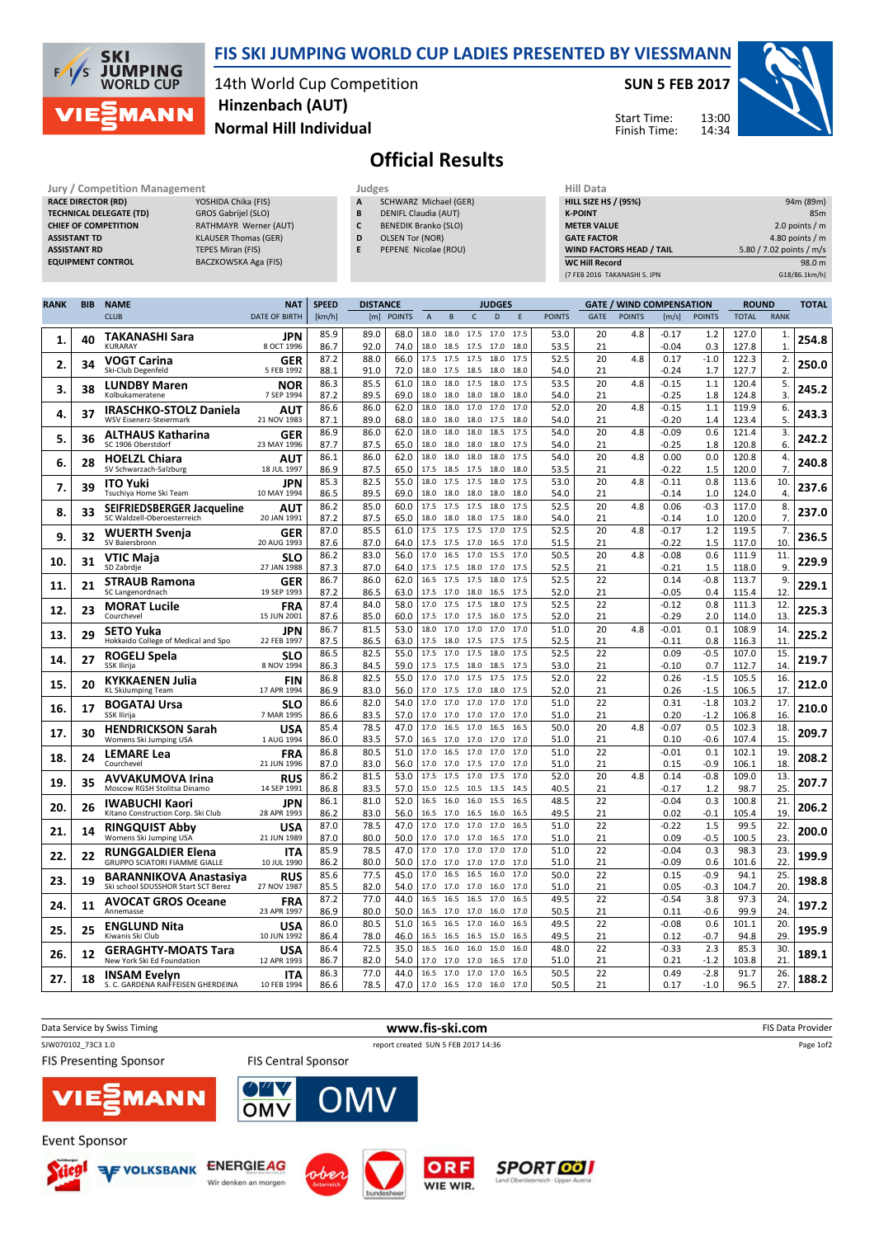

## FIS SKI JUMPING WORLD CUP LADIES PRESENTED BY VIESSMANN

14th World Cup Competition Normal Hill Individual Hinzenbach (AUT)

## SUN 5 FEB 2017

Start Time: Finish Time:



## Official Results

| Jury / Competition Management  |                              | Judges |                             | <b>Hill Data</b>   |
|--------------------------------|------------------------------|--------|-----------------------------|--------------------|
| <b>RACE DIRECTOR (RD)</b>      | YOSHIDA Chika (FIS)          | A      | SCHWARZ Michael (GER)       | <b>HILL SIZE H</b> |
| <b>TECHNICAL DELEGATE (TD)</b> | GROS Gabrijel (SLO)          | B      | DENIFL Claudia (AUT)        | <b>K-POINT</b>     |
| <b>CHIEF OF COMPETITION</b>    | <b>RATHMAYR Werner (AUT)</b> |        | <b>BENEDIK Branko (SLO)</b> | <b>METER VAI</b>   |
| <b>ASSISTANT TD</b>            | <b>KLAUSER Thomas (GER)</b>  | D      | OLSEN Tor (NOR)             | <b>GATE FACT</b>   |
| <b>ASSISTANT RD</b>            | TEPES Miran (FIS)            | E      | PEPENE Nicolae (ROU)        | <b>WIND FACT</b>   |
| <b>EQUIPMENT CONTROL</b>       | BACZKOWSKA Aga (FIS)         |        |                             | <b>WC Hill Red</b> |

| пш иата                         |                          |
|---------------------------------|--------------------------|
| <b>HILL SIZE HS / (95%)</b>     | 94m (89m)                |
| <b>K-POINT</b>                  | 85 <sub>m</sub>          |
| <b>METER VALUE</b>              | 2.0 points $/m$          |
| <b>GATE FACTOR</b>              | 4.80 points $/m$         |
| <b>WIND FACTORS HEAD / TAIL</b> | 5.80 / 7.02 points / m/s |
| <b>WC Hill Record</b>           | 98.0 m                   |
| (7 FEB 2016 TAKANASHI S. JPN    | G18/86.1km/h)            |

| <b>RANK</b> | <b>BIB</b> | <b>NAME</b>                                                          | <b>NAT</b>                | <b>SPEED</b> | <b>DISTANCE</b> |               |                |                             |              | <b>JUDGES</b> |              |               |             |               | <b>GATE / WIND COMPENSATION</b> |                  | <b>ROUND</b>   |                      | <b>TOTAL</b> |
|-------------|------------|----------------------------------------------------------------------|---------------------------|--------------|-----------------|---------------|----------------|-----------------------------|--------------|---------------|--------------|---------------|-------------|---------------|---------------------------------|------------------|----------------|----------------------|--------------|
|             |            | <b>CLUB</b>                                                          | <b>DATE OF BIRTH</b>      | [km/h]       | [m]             | <b>POINTS</b> | $\overline{A}$ | B                           | $\mathsf{C}$ | D             | E            | <b>POINTS</b> | <b>GATE</b> | <b>POINTS</b> | [m/s]                           | <b>POINTS</b>    | <b>TOTAL</b>   | <b>RANK</b>          |              |
| 1.          | 40         | TAKANASHI Sara<br>KURARAY                                            | JPN<br>8 OCT 1996         | 85.9<br>86.7 | 89.0<br>92.0    | 68.0<br>74.0  | 18.0<br>18.0   | 18.0 17.5 17.0<br>18.5 17.5 |              | 17.0          | 17.5<br>18.0 | 53.0<br>53.5  | 20<br>21    | 4.8           | $-0.17$<br>$-0.04$              | 1.2<br>0.3       | 127.0<br>127.8 | 1.<br>$\mathbf{1}$   | 254.8        |
| 2.          | 34         | <b>VOGT Carina</b><br>Ski-Club Degenfeld                             | GER<br>5 FEB 1992         | 87.2<br>88.1 | 88.0<br>91.0    | 66.0<br>72.0  | 17.5<br>18.0   | 17.5<br>17.5                | 17.5<br>18.5 | 18.0<br>18.0  | 17.5<br>18.0 | 52.5<br>54.0  | 20<br>21    | 4.8           | 0.17<br>$-0.24$                 | $-1.0$<br>1.7    | 122.3<br>127.7 | 2.<br>2.             | 250.0        |
| 3.          | 38         | <b>LUNDBY Maren</b><br>Kolbukameratene                               | NOR<br>7 SEP 1994         | 86.3         | 85.5            | 61.0          | 18.0<br>18.0   | 18.0                        | 17.5         | 18.0          | 17.5<br>18.0 | 53.5          | 20          | 4.8           | $-0.15$                         | 1.1              | 120.4          | 5.                   | 245.2        |
|             |            | <b>IRASCHKO-STOLZ Daniela</b>                                        | AUT                       | 87.2<br>86.6 | 89.5<br>86.0    | 69.0<br>62.0  | 18.0           | 18.0<br>18.0                | 18.0<br>17.0 | 18.0<br>17.0  | 17.0         | 54.0<br>52.0  | 21<br>20    | 4.8           | $-0.25$<br>$-0.15$              | 1.8<br>1.1       | 124.8<br>119.9 | 3.<br>6.             |              |
| 4.          | 37         | WSV Eisenerz-Steiermark                                              | 21 NOV 1983               | 87.1         | 89.0            | 68.0          | 18.0           | 18.0                        | 18.0         | 17.5          | 18.0         | 54.0          | 21          |               | $-0.20$                         | 1.4              | 123.4          | 5.                   | 243.3        |
| 5.          | 36         | <b>ALTHAUS Katharina</b><br>SC 1906 Oberstdorf                       | GER<br>23 MAY 1996        | 86.9<br>87.7 | 86.0<br>87.5    | 62.0<br>65.0  | 18.0<br>18.0   | 18.0<br>18.0                | 18.0<br>18.0 | 18.5<br>18.0  | 17.5<br>17.5 | 54.0<br>54.0  | 20<br>21    | 4.8           | $-0.09$<br>$-0.25$              | 0.6<br>1.8       | 121.4<br>120.8 | 3.<br>6.             | 242.2        |
| 6.          | 28         | <b>HOELZL Chiara</b><br>SV Schwarzach-Salzburg                       | AUT<br>18 JUL 1997        | 86.1<br>86.9 | 86.0<br>87.5    | 62.0<br>65.0  | 18.0<br>17.5   | 18.0<br>18.5                | 18.0<br>17.5 | 18.0<br>18.0  | 17.5<br>18.0 | 54.0<br>53.5  | 20<br>21    | 4.8           | 0.00<br>$-0.22$                 | 0.0<br>1.5       | 120.8<br>120.0 | 4.<br>$\overline{7}$ | 240.8        |
| 7.          | 39         | <b>ITO Yuki</b>                                                      | <b>JPN</b>                | 85.3         | 82.5            | 55.0          | 18.0           | 17.5                        | 17.5         | 18.0          | 17.5         | 53.0          | 20          | 4.8           | $-0.11$                         | 0.8              | 113.6          | 10                   | 237.6        |
|             |            | Tsuchiya Home Ski Team                                               | 10 MAY 1994               | 86.5         | 89.5            | 69.0          | 18.0           | 18.0                        | 18.0         | 18.0          | 18.0<br>17.5 | 54.0          | 21          |               | $-0.14$                         | 1.0              | 124.0          | 4.                   |              |
| 8.          | 33         | SEIFRIEDSBERGER Jacqueline<br>SC Waldzell-Oberoesterreich            | AUT<br>20 JAN 1991        | 86.2<br>87.2 | 85.0<br>87.5    | 60.0<br>65.0  | 17.5<br>18.0   | 17.5<br>18.0                | 17.5<br>18.0 | 18.0<br>17.5  | 18.0         | 52.5<br>54.0  | 20<br>21    | 4.8           | 0.06<br>$-0.14$                 | $-0.3$<br>1.0    | 117.0<br>120.0 | 8.<br>7.             | 237.0        |
| 9.          | 32         | <b>WUERTH Svenja</b>                                                 | GER                       | 87.0         | 85.5            | 61.0          | 17.5           | 17.5                        | 17.5         | 17.0          | 17.5         | 52.5          | 20          | 4.8           | $-0.17$                         | 1.2              | 119.5          | 7.                   | 236.5        |
|             |            | SV Baiersbronn<br>VTIC Maja                                          | 20 AUG 1993<br><b>SLO</b> | 87.6<br>86.2 | 87.0<br>83.0    | 64.0<br>56.0  | 17.5<br>17.0   | 17.5<br>16.5                | 17.0<br>17.0 | 16.5<br>15.5  | 17.0<br>17.0 | 51.5<br>50.5  | 21<br>20    | 4.8           | $-0.22$<br>$-0.08$              | 1.5<br>0.6       | 117.0<br>111.9 | 10<br>11.            |              |
| 10.         | 31         | SD Zabrdje                                                           | 27 JAN 1988               | 87.3         | 87.0            | 64.0          | 17.5           | 17.5                        | 18.0         | 17.0          | 17.5         | 52.5          | 21          |               | $-0.21$                         | 1.5              | 118.0          | 9.                   | 229.9        |
| 11.         | 21         | <b>STRAUB Ramona</b><br>SC Langenordnach                             | GER<br>19 SEP 1993        | 86.7<br>87.2 | 86.0<br>86.5    | 62.0<br>63.0  | 16.5<br>17.5   | 17.5<br>17.0                | 17.5<br>18.0 | 18.0<br>16.5  | 17.5<br>17.5 | 52.5<br>52.0  | 22<br>21    |               | 0.14<br>$-0.05$                 | $-0.8$<br>0.4    | 113.7<br>115.4 | 9.<br>12.            | 229.1        |
| 12.         | 23         | <b>MORAT Lucile</b><br>Courchevel                                    | <b>FRA</b>                | 87.4         | 84.0            | 58.0          | 17.0           | 17.5                        | 17.5         | 18.0          | 17.5         | 52.5          | 22          |               | $-0.12$                         | 0.8              | 111.3          | 12                   | 225.3        |
|             |            | <b>SETO Yuka</b>                                                     | 15 JUN 2001<br>JPN        | 87.6<br>86.7 | 85.0<br>81.5    | 60.0<br>53.0  | 17.5<br>18.0   | 17.0<br>17.0                | 17.5<br>17.0 | 16.0<br>17.0  | 17.5<br>17.0 | 52.0<br>51.0  | 21<br>20    | 4.8           | $-0.29$<br>$-0.01$              | 2.0<br>0.1       | 114.0<br>108.9 | 13<br>14.            |              |
| 13.         | 29         | Hokkaido College of Medical and Spo                                  | 22 FEB 1997               | 87.5         | 86.5            | 63.0          | 17.5           | 18.0                        | 17.5         | 17.5          | 17.5         | 52.5          | 21          |               | -0.11                           | 0.8              | 116.3          | 11                   | 225.2        |
| 14.         | 27         | ROGELJ Spela<br>SSK Ilirija                                          | SLO<br>8 NOV 1994         | 86.5<br>86.3 | 82.5<br>84.5    | 55.0<br>59.0  | 17.5<br>17.5   | 17.0<br>17.5                | 17.5<br>18.0 | 18.0<br>18.5  | 17.5<br>17.5 | 52.5<br>53.0  | 22<br>21    |               | 0.09<br>-0.10                   | $-0.5$<br>0.7    | 107.0<br>112.7 | 15<br>14             | 219.7        |
| 15.         | 20         | KYKKAENEN Julia                                                      | <b>FIN</b><br>17 APR 1994 | 86.8         | 82.5            | 55.0          | 17.0<br>17.0   | 17.0<br>17.5 17.0           | 17.5         | 17.5<br>18.0  | 17.5<br>17.5 | 52.0          | 22          |               | 0.26                            | $-1.5$           | 105.5          | 16.                  | 212.0        |
|             |            | <b>KL SkiJumping Team</b><br><b>BOGATAJ Ursa</b>                     | SLO                       | 86.9<br>86.6 | 83.0<br>82.0    | 56.0<br>54.0  | 17.0           | 17.0                        | 17.0         | 17.0          | 17.0         | 52.0<br>51.0  | 21<br>22    |               | 0.26<br>0.31                    | $-1.5$<br>$-1.8$ | 106.5<br>103.2 | 17<br>17.            |              |
| 16.         | 17         | SSK Ilirija                                                          | 7 MAR 1995                | 86.6         | 83.5            | 57.0          | 17.0           | 17.0                        | 17.0         | 17.0          | 17.0         | 51.0          | 21          |               | 0.20                            | $-1.2$           | 106.8          | 16                   | 210.0        |
| 17.         | 30         | <b>HENDRICKSON Sarah</b><br>Womens Ski Jumping USA                   | <b>USA</b><br>1 AUG 1994  | 85.4<br>86.0 | 78.5<br>83.5    | 47.0<br>57.0  | 17.0<br>16.5   | 16.5<br>17.0                | 17.0<br>17.0 | 16.5<br>17.0  | 16.5<br>17.0 | 50.0<br>51.0  | 20<br>21    | 4.8           | $-0.07$<br>0.10                 | 0.5<br>$-0.6$    | 102.3<br>107.4 | 18<br>15             | 209.7        |
| 18.         | 24         | <b>LEMARE Lea</b>                                                    | <b>FRA</b>                | 86.8         | 80.5            | 51.0          | 17.0           | 16.5                        | 17.0         | 17.0          | 17.0         | 51.0          | 22          |               | $-0.01$                         | 0.1              | 102.1          | 19                   | 208.2        |
|             |            | Courchevel<br><b>AVVAKUMOVA Irina</b>                                | 21 JUN 1996<br><b>RUS</b> | 87.0<br>86.2 | 83.0<br>81.5    | 56.0<br>53.0  | 17.0<br>17.5   | 17.0 17.5 17.0<br>17.5      | 17.0         | 17.5          | 17.0<br>17.0 | 51.0<br>52.0  | 21<br>20    | 4.8           | 0.15<br>0.14                    | $-0.9$<br>$-0.8$ | 106.1<br>109.0 | 18<br>13.            |              |
| 19.         | 35         | Moscow RGSH Stolitsa Dinamo                                          | 14 SEP 1991               | 86.8         | 83.5            | 57.0          | 15.0           | 12.5                        | 10.5         | 13.5          | 14.5         | 40.5          | 21          |               | $-0.17$                         | 1.2              | 98.7           | 25                   | 207.7        |
| 20.         | 26         | <b>IWABUCHI Kaori</b><br>Kitano Construction Corp. Ski Club          | JPN<br>28 APR 1993        | 86.1<br>86.2 | 81.0<br>83.0    | 52.0<br>56.0  | 16.5<br>16.5   | 16.0<br>17.0                | 16.0<br>16.5 | 15.5<br>16.0  | 16.5<br>16.5 | 48.5<br>49.5  | 22<br>21    |               | $-0.04$<br>0.02                 | 0.3<br>$-0.1$    | 100.8<br>105.4 | 21<br>19             | 206.2        |
| 21.         | 14         | <b>RINGQUIST Abby</b><br>Womens Ski Jumping USA                      | USA<br>21 JUN 1989        | 87.0<br>87.0 | 78.5<br>80.0    | 47.0<br>50.0  | 17.0<br>17.0   | 17.0<br>17.0                | 17.0<br>17.0 | 17.0<br>16.5  | 16.5<br>17.0 | 51.0<br>51.0  | 22<br>21    |               | $-0.22$<br>0.09                 | 1.5<br>-0.5      | 99.5<br>100.5  | 22<br>23             | 200.0        |
| 22.         | 22         | <b>RUNGGALDIER Elena</b>                                             | <b>ITA</b>                | 85.9         | 78.5            | 47.0          | 17.0           | 17.0                        | 17.0         | 17.0          | 17.0         | 51.0          | 22          |               | $-0.04$                         | 0.3              | 98.3           | 23.                  | 199.9        |
|             |            | <b>GRUPPO SCIATORI FIAMME GIALLE</b>                                 | 10 JUL 1990               | 86.2<br>85.6 | 80.0<br>77.5    | 50.0<br>45.0  | 17.0<br>17.0   | 17.0<br>16.5                | 17.0<br>16.5 | 17.0<br>16.0  | 17.0<br>17.0 | 51.0<br>50.0  | 21<br>22    |               | $-0.09$<br>0.15                 | 0.6<br>$-0.9$    | 101.6<br>94.1  | 22<br>25             |              |
| 23.         | 19         | <b>BARANNIKOVA Anastasiya</b><br>Ski school SDUSSHOR Start SCT Berez | <b>RUS</b><br>27 NOV 1987 | 85.5         | 82.0            | 54.0          | 17.0           | 17.0                        | 17.0         | 16.0          | 17.0         | 51.0          | 21          |               | 0.05                            | $-0.3$           | 104.7          | 20.                  | 198.8        |
| 24.         | 11         | <b>AVOCAT GROS Oceane</b><br>Annemasse                               | FRA<br>23 APR 1997        | 87.2<br>86.9 | 77.0<br>80.0    | 44.0<br>50.0  | 16.5<br>16.5   | 16.5<br>17.0                | 16.5<br>17.0 | 17.0<br>16.0  | 16.5<br>17.0 | 49.5<br>50.5  | 22<br>21    |               | $-0.54$<br>0.11                 | 3.8<br>$-0.6$    | 97.3<br>99.9   | 24<br>24             | 197.2        |
| 25.         | 25         | <b>ENGLUND Nita</b>                                                  | <b>USA</b>                | 86.0         | 80.5            | 51.0          | 16.5           | 16.5                        | 17.0         | 16.0          | 16.5         | 49.5          | 22          |               | $-0.08$                         | 0.6              | 101.1          | 20                   | 195.9        |
|             |            | Kiwanis Ski Club                                                     | 10 JUN 1992               | 86.4<br>86.4 | 78.0<br>72.5    | 46.0<br>35.0  | 16.5<br>16.5   | 16.5<br>16.0                | 16.5<br>16.0 | 15.0<br>15.0  | 16.5<br>16.0 | 49.5<br>48.0  | 21<br>22    |               | 0.12<br>$-0.33$                 | $-0.7$<br>2.3    | 94.8<br>85.3   | 29<br>30             |              |
| 26.         | 12         | <b>GERAGHTY-MOATS Tara</b><br>New York Ski Ed Foundation             | USA<br>12 APR 1993        | 86.7         | 82.0            | 54.0          | 17.0           | 17.0                        | 17.0         | 16.5          | 17.0         | 51.0          | 21          |               | 0.21                            | $-1.2$           | 103.8          | 21                   | 189.1        |
| 27.         | 18         | <b>INSAM Evelyn</b><br>S. C. GARDENA RAIFFEISEN GHERDEINA            | <b>ITA</b><br>10 FEB 1994 | 86.3<br>86.6 | 77.0<br>78.5    | 44.0<br>47.0  | 16.5           | 17.0<br>17.0 16.5 17.0      | 17.0         | 17.0<br>16.0  | 16.5<br>17.0 | 50.5<br>50.5  | 22<br>21    |               | 0.49<br>0.17                    | $-2.8$<br>$-1.0$ | 91.7<br>96.5   | 26.<br>27.           | 188.2        |



WIE WIR.